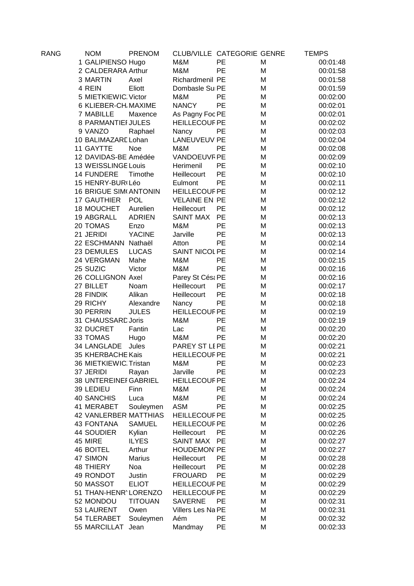| RANG | <b>NOM</b>                   | <b>PRENOM</b>  | CLUB/VILLE CATEGORIE GENRE |           |   | TEMPS    |
|------|------------------------------|----------------|----------------------------|-----------|---|----------|
|      | 1 GALIPIENSO Hugo            |                | M&M                        | PE        | M | 00:01:48 |
|      | 2 CALDERARA Arthur           |                | M&M                        | PE        | M | 00:01:58 |
|      | 3 MARTIN                     | Axel           | Richardmenil PE            |           | M | 00:01:58 |
|      | 4 REIN                       | Eliott         | Dombasle Sul PE            |           | M | 00:01:59 |
|      | 5 MIETKIEWIC Victor          |                | M&M                        | PE        | M | 00:02:00 |
|      | 6 KLIEBER-CH. MAXIME         |                | <b>NANCY</b>               | PE        | M | 00:02:01 |
|      | 7 MABILLE                    | Maxence        | As Pagny Foc PE            |           | M | 00:02:01 |
|      | 8 PARMANTIEI JULES           |                | <b>HEILLECOUF PE</b>       |           | M | 00:02:02 |
|      | 9 VANZO                      | Raphael        | Nancy                      | PE        | M | 00:02:03 |
|      | 10 BALIMAZARE Lohan          |                | <b>LANEUVEUV PE</b>        |           | M | 00:02:04 |
|      | 11 GAYTTE                    | <b>Noe</b>     | M&M                        | PE        | M | 00:02:08 |
|      | 12 DAVIDAS-BE Amédée         |                | VANDOEUVF PE               |           | M | 00:02:09 |
|      | 13 WEISSLINGE Louis          |                | Herimenil                  | PE        | M | 00:02:10 |
|      | 14 FUNDERE                   | Timothe        | Heillecourt                | PE        | M | 00:02:10 |
|      | 15 HENRY-BUR(Léo             |                | Eulmont                    | PE        | M | 00:02:11 |
|      | <b>16 BRIGUE SIM ANTONIN</b> |                | <b>HEILLECOUF PE</b>       |           | M | 00:02:12 |
|      | 17 GAUTHIER POL              |                | <b>VELAINE EN PE</b>       |           | M | 00:02:12 |
|      | 18 MOUCHET                   | Aurelien       | Heillecourt                | PE        | M | 00:02:12 |
|      | 19 ABGRALL                   | <b>ADRIEN</b>  | <b>SAINT MAX</b>           | PE        | M | 00:02:13 |
|      | 20 TOMAS                     | Enzo           | M&M                        | PE        | M | 00:02:13 |
|      | 21 JERIDI                    | <b>YACINE</b>  | Jarville                   | PE        | M | 00:02:13 |
|      | 22 ESCHMANN Nathaël          |                | Atton                      | PE        | M | 00:02:14 |
|      | 23 DEMULES                   | <b>LUCAS</b>   | SAINT NICOL PE             |           | M | 00:02:14 |
|      | 24 VERGMAN                   | Mahe           | M&M                        | <b>PE</b> | M | 00:02:15 |
|      | 25 SUZIC                     | Victor         | M&M                        | PE        | M | 00:02:16 |
|      | 26 COLLIGNON Axel            |                | Parey St Césa PE           |           | M | 00:02:16 |
|      | 27 BILLET                    | Noam           | Heillecourt                | PE        | M | 00:02:17 |
|      | 28 FINDIK                    | Alikan         | Heillecourt                | PE        | M | 00:02:18 |
|      | 29 RICHY                     | Alexandre      | Nancy                      | <b>PE</b> | M | 00:02:18 |
|      | 30 PERRIN                    | <b>JULES</b>   | <b>HEILLECOUF PE</b>       |           | M | 00:02:19 |
|      | 31 CHAUSSARD Joris           |                | M&M                        | PE        | M | 00:02:19 |
|      | 32 DUCRET                    | Fantin         | Lac                        | PE        | M | 00:02:20 |
|      | 33 TOMAS                     | Hugo           | M&M                        | PE        | M | 00:02:20 |
|      | 34 LANGLADE                  | Jules          | PAREY ST LEPE              |           | M | 00:02:21 |
|      | 35 KHERBACHE Kais            |                | <b>HEILLECOUF PE</b>       |           | M | 00:02:21 |
|      | 36 MIETKIEWIC Tristan        |                | M&M                        | PE        | M | 00:02:23 |
|      | 37 JERIDI                    | Rayan          | Jarville                   | РE        | M | 00:02:23 |
|      | <b>38 UNTEREINEI GABRIEL</b> |                | <b>HEILLECOUF PE</b>       |           | M | 00:02:24 |
|      | 39 LEDIEU                    | Finn           | M&M                        | PE        | M | 00:02:24 |
|      | <b>40 SANCHIS</b>            | Luca           | M&M                        | PE        | M | 00:02:24 |
|      | 41 MERABET                   | Souleymen      | <b>ASM</b>                 | PE        | M | 00:02:25 |
|      | 42 VANLERBER MATTHIAS        |                | <b>HEILLECOUF PE</b>       |           | M | 00:02:25 |
|      | 43 FONTANA                   | <b>SAMUEL</b>  | <b>HEILLECOUF PE</b>       |           | M | 00:02:26 |
|      | 44 SOUDIER                   | Kylian         | Heillecourt                | PЕ        | M | 00:02:26 |
|      | 45 MIRE                      | <b>ILYES</b>   | <b>SAINT MAX</b>           | PE        | M | 00:02:27 |
|      | <b>46 BOITEL</b>             | Arthur         | <b>HOUDEMON PE</b>         |           | M | 00:02:27 |
|      | 47 SIMON                     | <b>Marius</b>  | Heillecourt                | PE        | M | 00:02:28 |
|      | <b>48 THIERY</b>             | Noa            | Heillecourt                | PE        | M | 00:02:28 |
|      | 49 RONDOT                    | Justin         | <b>FROUARD</b>             | PE        | M | 00:02:29 |
|      | 50 MASSOT                    | <b>ELIOT</b>   | <b>HEILLECOUF PE</b>       |           | M | 00:02:29 |
|      | 51 THAN-HENR' LORENZO        |                | <b>HEILLECOUF PE</b>       |           | M | 00:02:29 |
|      | 52 MONDOU                    | <b>TITOUAN</b> | <b>SAVERNE</b>             | PE        | M | 00:02:31 |
|      | 53 LAURENT                   | Owen           | Villers Les Na PE          |           | M | 00:02:31 |
|      | 54 TLERABET                  | Souleymen      | Aém                        | PE        | M | 00:02:32 |
|      | 55 MARCILLAT                 | Jean           | Mandmay                    | PE        | M | 00:02:33 |
|      |                              |                |                            |           |   |          |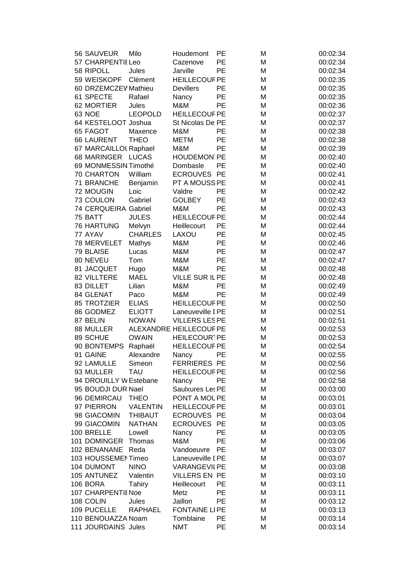|  | 56 SAUVEUR               | Milo                    | Houdemont                       | PE        | M      | 00:02:34             |
|--|--------------------------|-------------------------|---------------------------------|-----------|--------|----------------------|
|  | 57 CHARPENTIE Leo        |                         | Cazenove                        | PE        | M      | 00:02:34             |
|  | 58 RIPOLL                | Jules                   | Jarville                        | PE        | M      | 00:02:34             |
|  | 59 WEISKOPF              | Clément                 | <b>HEILLECOUF PE</b>            |           | M      | 00:02:35             |
|  | 60 DRZEMCZEV Mathieu     |                         | <b>Devillers</b>                | PE        | M      | 00:02:35             |
|  | 61 SPECTE                | Rafael                  | Nancy                           | PE        | M      | 00:02:35             |
|  | 62 MORTIER               | Jules                   | M&M                             | PE        | M      | 00:02:36             |
|  | <b>63 NOE</b>            | <b>LEOPOLD</b>          | <b>HEILLECOUF PE</b>            |           | M      | 00:02:37             |
|  | 64 KESTELOOT Joshua      |                         | St Nicolas De PE                |           | M      | 00:02:37             |
|  | 65 FAGOT                 | Maxence                 | M&M                             | PE        | M      | 00:02:38             |
|  | <b>66 LAURENT</b>        | <b>THEO</b>             | <b>METM</b>                     | PE        | M      | 00:02:38             |
|  | 67 MARCAILLOL Raphael    |                         | M&M                             | PE        | M      | 00:02:39             |
|  | 68 MARINGER LUCAS        |                         | <b>HOUDEMON PE</b>              |           | M      | 00:02:40             |
|  | 69 MONMESSIN Timothé     |                         | Dombasle                        | <b>PE</b> | M      | 00:02:40             |
|  | 70 CHARTON               | William                 | <b>ECROUVES PE</b>              |           | M      | 00:02:41             |
|  | 71 BRANCHE               | Benjamin                | PT A MOUSS PE                   |           | M      | 00:02:41             |
|  | 72 MOUGIN                | Loic                    | Valdre                          | PE        | M      | 00:02:42             |
|  | 73 COULON                | Gabriel                 | <b>GOLBEY</b>                   | PE        | M      | 00:02:43             |
|  | 74 CERQUEIRA Gabriel     |                         | M&M                             | PE        | M      | 00:02:43             |
|  | 75 BATT                  | <b>JULES</b>            | <b>HEILLECOUF PE</b>            |           | M      | 00:02:44             |
|  | <b>76 HARTUNG</b>        | Melvyn                  | Heillecourt                     | PE        | M      | 00:02:44             |
|  | 77 AYAV                  | <b>CHARLES</b>          | LAXOU                           | PE        | M      | 00:02:45             |
|  | 78 MERVELET              | Mathys                  | M&M                             | PE        | M      | 00:02:46             |
|  | 79 BLAISE                | Lucas                   | M&M                             | PE        | M      | 00:02:47             |
|  | 80 NEVEU                 | Tom                     | M&M                             | PE        | M      | 00:02:47             |
|  | 81 JACQUET               | Hugo                    | M&M                             | PE        | M      | 00:02:48             |
|  | 82 VILLTERE              | <b>MAEL</b>             | VILLE SUR IL PE                 |           | M      | 00:02:48             |
|  | 83 DILLET                | Lilian                  | M&M                             | PE        | M      | 00:02:49             |
|  | 84 GLENAT                | Paco                    | M&M                             | PE        | M      | 00:02:49             |
|  | 85 TROTZIER              | <b>ELIAS</b>            | <b>HEILLECOUF PE</b>            |           | M      | 00:02:50             |
|  | 86 GODMEZ                | <b>ELIOTT</b>           | Laneuveville I PE               |           | M      | 00:02:51             |
|  | 87 BELIN                 | <b>NOWAN</b>            | <b>VILLERS LESPE</b>            |           | M      | 00:02:51             |
|  | 88 MULLER                |                         | ALEXANDRE HEILLECOUF PE         |           | M      | 00:02:53             |
|  | 89 SCHUE                 | <b>OWAIN</b>            | HEILECOUR1PE                    |           | M      | 00:02:53             |
|  | 90 BONTEMPS Raphaël      |                         | <b>HEILLECOUF PE</b>            |           | M      | 00:02:54             |
|  | 91 GAINE                 | Alexandre               | Nancy                           | PE        | M      | 00:02:55             |
|  | 92 LAMULLE               | Simeon                  | <b>FERRIERES PE</b>             |           | M      | 00:02:56             |
|  | 93 MULLER                | <b>TAU</b>              | <b>HEILLECOUF PE</b>            |           | M      | 00:02:56             |
|  | 94 DROUILLY W Estebane   |                         | Nancy                           | РE        | M      | 00:02:58             |
|  | 95 BOUDJI DUR Nael       |                         | Saulxures Les PE                |           | M      | 00:03:00             |
|  | 96 DEMIRCAU              | <b>THEO</b>             | PONT A MOL PE                   |           | M      | 00:03:01             |
|  | 97 PIERRON               | <b>VALENTIN</b>         | <b>HEILLECOUF PE</b>            |           | M      | 00:03:01             |
|  | 98 GIACOMIN              | <b>THIBAUT</b>          | ECROUVES PE                     |           | M      | 00:03:04             |
|  | 99 GIACOMIN              | <b>NATHAN</b>           | <b>ECROUVES PE</b>              |           | M      | 00:03:05             |
|  | 100 BRELLE               | Lowell                  | Nancy                           | PE        | M      | 00:03:05             |
|  | 101 DOMINGER             | Thomas                  | M&M                             | PE        | M      | 00:03:06             |
|  | 102 BENANANE             | Reda                    | Vandoeuvre                      | <b>PE</b> | M      | 00:03:07             |
|  | 103 HOUSSEMENTimeo       |                         | Laneuveville I PE               |           | M      | 00:03:07             |
|  | 104 DUMONT               | <b>NINO</b>             | <b>VARANGEVILPE</b>             |           | M      | 00:03:08             |
|  | 105 ANTUNEZ              | Valentin                | <b>VILLERS EN PE</b>            |           | M      | 00:03:10             |
|  | 106 BORA                 | Tahiry                  | Heillecourt                     | PE        | M      | 00:03:11             |
|  | 107 CHARPENTIE Noe       |                         | Metz                            | PE        | M      | 00:03:11             |
|  | 108 COLIN<br>109 PUCELLE | Jules<br><b>RAPHAEL</b> | Jaillon<br><b>FONTAINE LIPE</b> | PE        | M<br>M | 00:03:12             |
|  | 110 BENOUAZZA Noam       |                         | Tomblaine                       | <b>PE</b> | M      | 00:03:13<br>00:03:14 |
|  | 111 JOURDAINS Jules      |                         | <b>NMT</b>                      | PE        | M      | 00:03:14             |
|  |                          |                         |                                 |           |        |                      |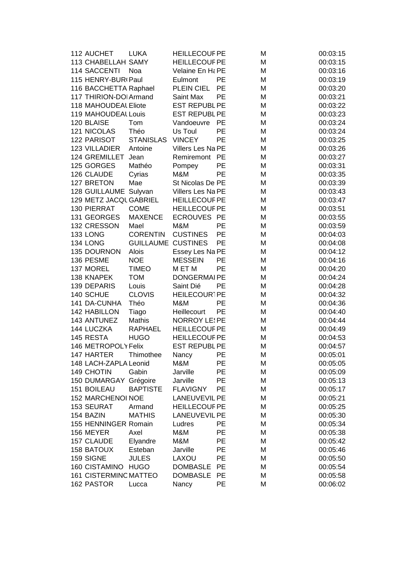| 112 AUCHET                   | <b>LUKA</b>      | <b>HEILLECOUF PE</b>                         |           | M      | 00:03:15 |
|------------------------------|------------------|----------------------------------------------|-----------|--------|----------|
| 113 CHABELLAH SAMY           |                  | <b>HEILLECOUF PE</b>                         |           | M      | 00:03:15 |
| <b>114 SACCENTI</b>          | Noa              | Velaine En Ha PE                             |           | M      | 00:03:16 |
| 115 HENRY-BUR(Paul           |                  | Eulmont                                      | PE        | M      | 00:03:19 |
| 116 BACCHETTA Raphael        |                  | PLEIN CIEL                                   | <b>PE</b> | M      | 00:03:20 |
| 117 THIRION-DOI Armand       |                  | Saint Max                                    | PЕ        | M      | 00:03:21 |
| 118 MAHOUDEAL Eliote         |                  | <b>EST REPUBL PE</b>                         |           | M      | 00:03:22 |
| 119 MAHOUDEAL Louis          |                  | <b>EST REPUBL PE</b>                         |           | M      | 00:03:23 |
| 120 BLAISE                   | Tom              | Vandoeuvre                                   | <b>PE</b> | M      | 00:03:24 |
| 121 NICOLAS                  | Théo             | Us Toul                                      | PE        | M      | 00:03:24 |
| 122 PARISOT                  | <b>STANISLAS</b> | <b>VINCEY</b>                                | PE        | M      | 00:03:25 |
| 123 VILLADIER                | Antoine          | Villers Les Na PE                            |           | M      | 00:03:26 |
| 124 GREMILLET                | Jean             | Remiremont PE                                |           | M      | 00:03:27 |
| 125 GORGES                   | Mathéo           | Pompey                                       | PE        | M      | 00:03:31 |
| 126 CLAUDE                   | Cyrias           | M&M                                          | PE        | M      | 00:03:35 |
| 127 BRETON                   | Mae              | St Nicolas De PE                             |           | M      | 00:03:39 |
| 128 GUILLAUME Sulyvan        |                  | Villers Les Na PE                            |           | M      | 00:03:43 |
| 129 METZ JACQL GABRIEL       |                  | <b>HEILLECOUF PE</b>                         |           | M      | 00:03:47 |
| 130 PIERRAT                  | <b>COME</b>      | <b>HEILLECOUF PE</b>                         |           | M      | 00:03:51 |
| 131 GEORGES                  | <b>MAXENCE</b>   | ECROUVES PE                                  |           | M      | 00:03:55 |
| 132 CRESSON                  | Mael             | M&M                                          | <b>PE</b> | M      | 00:03:59 |
| 133 LONG                     | <b>CORENTIN</b>  | <b>CUSTINES</b>                              | PE        | M      | 00:04:03 |
| 134 LONG                     | <b>GUILLAUME</b> | <b>CUSTINES</b>                              | PE        | M      | 00:04:08 |
| 135 DOURNON                  | Alois            | Essey Les Na PE                              |           | M      | 00:04:12 |
| 136 PESME                    | <b>NOE</b>       | <b>MESSEIN</b>                               | PE        | M      | 00:04:16 |
| 137 MOREL                    | <b>TIMEO</b>     | M ET M                                       | PE        | M      | 00:04:20 |
| 138 KNAPEK                   | <b>TOM</b>       | <b>DONGERMAIPE</b>                           |           |        | 00:04:24 |
| 139 DEPARIS                  | Louis            | Saint Dié                                    | PE        | M<br>M | 00:04:28 |
| 140 SCHUE                    | <b>CLOVIS</b>    | HEILECOUR1PE                                 |           | M      | 00:04:32 |
| 141 DA-CUNHA                 | Théo             | M&M                                          | PE        | M      | 00:04:36 |
| 142 HABILLON                 |                  |                                              | PE        | M      | 00:04:40 |
|                              | Tiago<br>Mathis  | Heillecourt                                  |           |        |          |
| 143 ANTUNEZ                  |                  | <b>NORROY LE! PE</b><br><b>HEILLECOUF PE</b> |           | M      | 00:04:44 |
| 144 LUCZKA                   | <b>RAPHAEL</b>   |                                              |           | M      | 00:04:49 |
| 145 RESTA                    | <b>HUGO</b>      | <b>HEILLECOUF PE</b>                         |           | M      | 00:04:53 |
| 146 METROPOLY Felix          |                  | <b>EST REPUBL PE</b>                         |           | M      | 00:04:57 |
| 147 HARTER                   | Thimothee        | Nancy                                        | PE        | M      | 00:05:01 |
| 148 LACH-ZAPLA Leonid        |                  | M&M                                          | PE        | M      | 00:05:05 |
| 149 CHOTIN                   | Gabin            | Jarville                                     | PE        | M      | 00:05:09 |
| <b>150 DUMARGAY</b>          | Grégoire         | Jarville                                     | PE        | M      | 00:05:13 |
| 151 BOILEAU                  | <b>BAPTISTE</b>  | <b>FLAVIGNY</b>                              | PE        | M      | 00:05:17 |
| 152 MARCHENOI NOE            |                  | <b>LANEUVEVIL PE</b>                         |           | M      | 00:05:21 |
| 153 SEURAT                   | Armand           | <b>HEILLECOUF PE</b>                         |           | M      | 00:05:25 |
| 154 BAZIN                    | <b>MATHIS</b>    | <b>LANEUVEVIL PE</b>                         |           | M      | 00:05:30 |
| 155 HENNINGER Romain         |                  | Ludres                                       | PE        | M      | 00:05:34 |
| 156 MEYER                    | Axel             | M&M                                          | PE        | M      | 00:05:38 |
| 157 CLAUDE                   | Elyandre         | M&M                                          | PE        | M      | 00:05:42 |
| <b>158 BATOUX</b>            | Esteban          | Jarville                                     | PE        | M      | 00:05:46 |
| 159 SIGNE                    | <b>JULES</b>     | LAXOU                                        | PE        | M      | 00:05:50 |
| 160 CISTAMINO HUGO           |                  | <b>DOMBASLE</b>                              | PE        | M      | 00:05:54 |
| <b>161 CISTERMINC MATTEO</b> |                  | <b>DOMBASLE</b>                              | PE        | M      | 00:05:58 |
| 162 PASTOR                   | Lucca            | Nancy                                        | PE        | M      | 00:06:02 |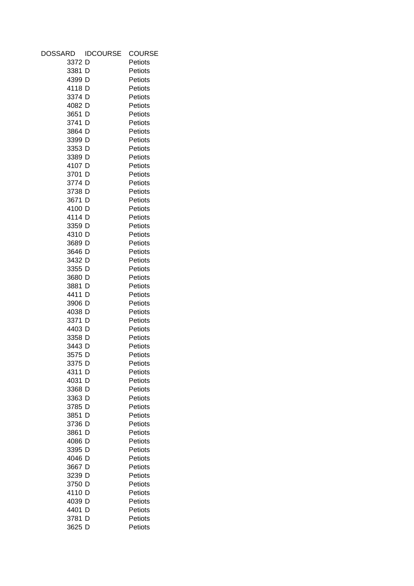| DOSSARD      | <b>IDCOURSE</b> | COURSE  |
|--------------|-----------------|---------|
| 3372 D       |                 | Petiots |
| 3381 D       |                 | Petiots |
| 4399 D       |                 | Petiots |
| 4118 D       |                 | Petiots |
| 3374 D       |                 | Petiots |
| 4082 D       |                 | Petiots |
| 3651 D       |                 | Petiots |
| 3741 D       |                 | Petiots |
| 3864 D       |                 | Petiots |
| 3399 D       |                 | Petiots |
| 3353 D       |                 | Petiots |
| 3389 D       |                 | Petiots |
| 4107 D       |                 | Petiots |
| 3701 D       |                 | Petiots |
| 3774 D       |                 | Petiots |
| 3738 D       |                 | Petiots |
| 3671 D       |                 | Petiots |
| 4100 D       |                 | Petiots |
| 4114 D       |                 | Petiots |
| 3359 D       |                 | Petiots |
| 4310 D       |                 | Petiots |
| 3689 D       |                 | Petiots |
| 3646 D       |                 | Petiots |
| 3432 D       |                 | Petiots |
| 3355 D       |                 | Petiots |
| 3680 D       |                 | Petiots |
| 3881 D       |                 | Petiots |
| 4411 D       |                 | Petiots |
| 3906 D       |                 | Petiots |
| 4038 D       |                 | Petiots |
| 3371 D       |                 | Petiots |
| 4403 D       |                 | Petiots |
| 3358 D       |                 | Petiots |
| 3443 D       |                 | Petiots |
| 3575 D       |                 | Petiots |
| 3375 D       |                 | Petiots |
|              |                 |         |
| 4311         | D               | Petiots |
| 4031         | D               | Petiots |
| 3368<br>3363 | D               | Petiots |
|              | D               | Petiots |
| 3785 D       |                 | Petiots |
| 3851         | D               | Petiots |
| 3736         | D               | Petiots |
| 3861         | D               | Petiots |
| 4086         | D               | Petiots |
| 3395 D       |                 | Petiots |
| 4046 D       |                 | Petiots |
| 3667 D       |                 | Petiots |
| 3239 D       |                 | Petiots |
| 3750 D       |                 | Petiots |
| 4110 D       |                 | Petiots |
| 4039 D       |                 | Petiots |
| 4401         | D               | Petiots |
| 3781         | D               | Petiots |
| 3625 D       |                 | Petiots |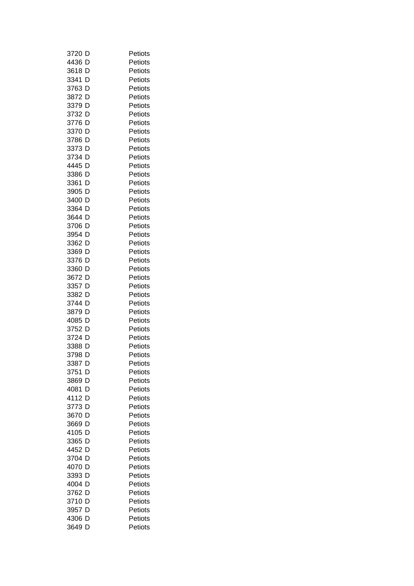| 3720<br>D | Petiots |
|-----------|---------|
| 4436<br>D | Petiots |
| 3618<br>D | Petiots |
| 3341 D    | Petiots |
| 3763<br>D | Petiots |
| 3872<br>D | Petiots |
| 3379<br>D | Petiots |
| 3732<br>D | Petiots |
| 3776<br>D | Petiots |
| 3370<br>D | Petiots |
| 3786<br>D | Petiots |
| 3373<br>D | Petiots |
| 3734 D    | Petiots |
| D<br>4445 | Petiots |
| D<br>3386 | Petiots |
| D<br>3361 | Petiots |
| 3905 D    | Petiots |
| 3400 D    | Petiots |
| 3364 D    | Petiots |
| 3644 D    | Petiots |
| 3706 D    | Petiots |
| 3954 D    | Petiots |
| 3362 D    | Petiots |
| 3369 D    | Petiots |
| 3376<br>D | Petiots |
| 3360<br>D | Petiots |
| 3672<br>D | Petiots |
| 3357<br>D | Petiots |
| 3382 D    | Petiots |
| 3744<br>D | Petiots |
| 3879<br>D | Petiots |
| 4085<br>D | Petiots |
| 3752 D    | Petiots |
| 3724 D    | Petiots |
| 3388 D    | Petiots |
| 3798 D    | Petiots |
|           |         |
| 3387 D    | Petiots |
| 3751<br>D | Petiots |
| 3869<br>D | Petiots |
| 4081<br>D | Petiots |
| 4112<br>D | Petiots |
| 3773<br>D | Petiots |
| 3670<br>D | Petiots |
| D<br>3669 | Petiots |
| 4105<br>D | Petiots |
| D<br>3365 | Petiots |
| 4452<br>D | Petiots |
| 3704<br>D | Petiots |
| 4070<br>D | Petiots |
| D<br>3393 | Petiots |
| 4004<br>D | Petiots |
| 3762 D    | Petiots |
| 3710<br>D | Petiots |
| 3957<br>D | Petiots |
| 4306<br>D | Petiots |
| 3649<br>D | Petiots |